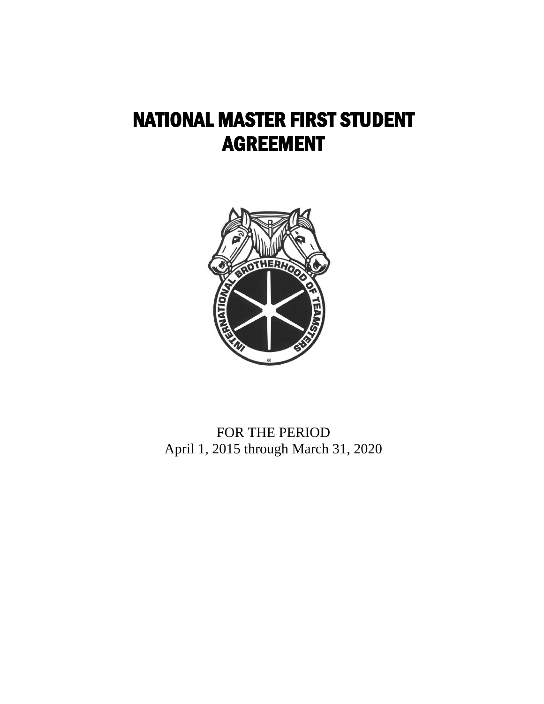# NATIONAL MASTER FIRST STUDENT AGREEMENT



FOR THE PERIOD April 1, 2015 through March 31, 2020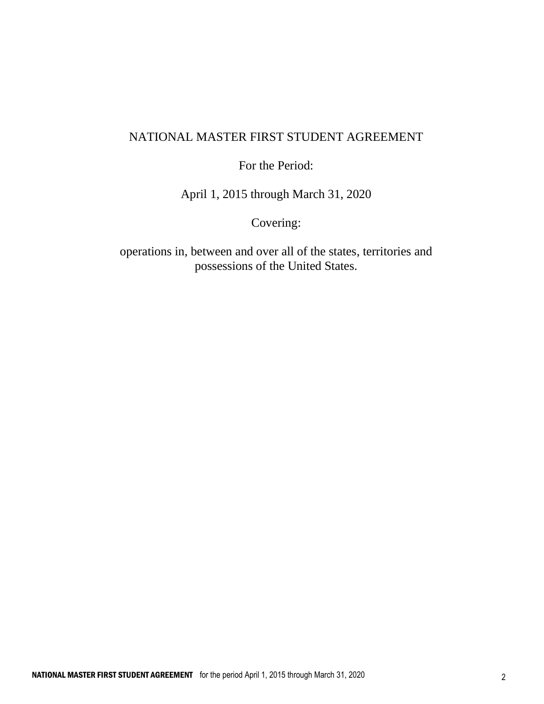## NATIONAL MASTER FIRST STUDENT AGREEMENT

For the Period:

April 1, 2015 through March 31, 2020

Covering:

operations in, between and over all of the states, territories and possessions of the United States.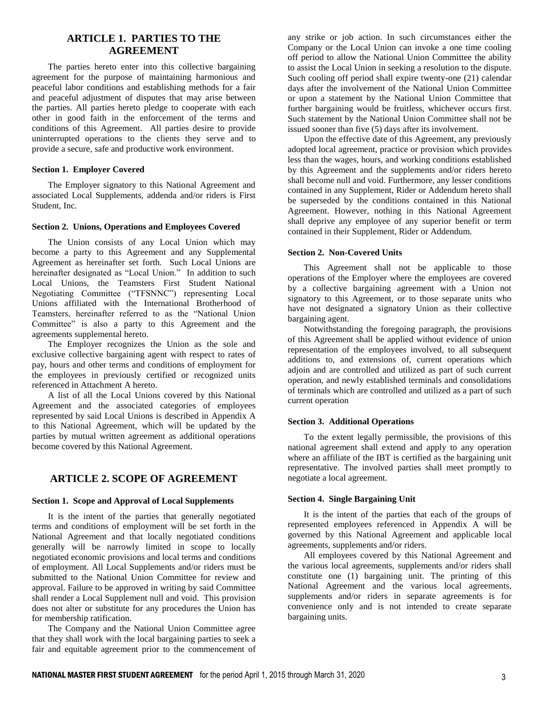## **ARTICLE 1. PARTIES TO THE AGREEMENT**

The parties hereto enter into this collective bargaining agreement for the purpose of maintaining harmonious and peaceful labor conditions and establishing methods for a fair and peaceful adjustment of disputes that may arise between the parties. All parties hereto pledge to cooperate with each other in good faith in the enforcement of the terms and conditions of this Agreement. All parties desire to provide uninterrupted operations to the clients they serve and to provide a secure, safe and productive work environment.

#### **Section 1. Employer Covered**

The Employer signatory to this National Agreement and associated Local Supplements, addenda and/or riders is First Student, Inc.

#### **Section 2. Unions, Operations and Employees Covered**

The Union consists of any Local Union which may become a party to this Agreement and any Supplemental Agreement as hereinafter set forth. Such Local Unions are hereinafter designated as "Local Union." In addition to such Local Unions, the Teamsters First Student National Negotiating Committee ("TFSNNC") representing Local Unions affiliated with the International Brotherhood of Teamsters, hereinafter referred to as the "National Union Committee" is also a party to this Agreement and the agreements supplemental hereto.

The Employer recognizes the Union as the sole and exclusive collective bargaining agent with respect to rates of pay, hours and other terms and conditions of employment for the employees in previously certified or recognized units referenced in Attachment A hereto.

A list of all the Local Unions covered by this National Agreement and the associated categories of employees represented by said Local Unions is described in Appendix A to this National Agreement, which will be updated by the parties by mutual written agreement as additional operations become covered by this National Agreement.

## **ARTICLE 2. SCOPE OF AGREEMENT**

#### **Section 1. Scope and Approval of Local Supplements**

It is the intent of the parties that generally negotiated terms and conditions of employment will be set forth in the National Agreement and that locally negotiated conditions generally will be narrowly limited in scope to locally negotiated economic provisions and local terms and conditions of employment. All Local Supplements and/or riders must be submitted to the National Union Committee for review and approval. Failure to be approved in writing by said Committee shall render a Local Supplement null and void. This provision does not alter or substitute for any procedures the Union has for membership ratification.

The Company and the National Union Committee agree that they shall work with the local bargaining parties to seek a fair and equitable agreement prior to the commencement of any strike or job action. In such circumstances either the Company or the Local Union can invoke a one time cooling off period to allow the National Union Committee the ability to assist the Local Union in seeking a resolution to the dispute. Such cooling off period shall expire twenty-one (21) calendar days after the involvement of the National Union Committee or upon a statement by the National Union Committee that further bargaining would be fruitless, whichever occurs first. Such statement by the National Union Committee shall not be issued sooner than five (5) days after its involvement.

Upon the effective date of this Agreement, any previously adopted local agreement, practice or provision which provides less than the wages, hours, and working conditions established by this Agreement and the supplements and/or riders hereto shall become null and void. Furthermore, any lesser conditions contained in any Supplement, Rider or Addendum hereto shall be superseded by the conditions contained in this National Agreement. However, nothing in this National Agreement shall deprive any employee of any superior benefit or term contained in their Supplement, Rider or Addendum.

#### **Section 2. Non-Covered Units**

This Agreement shall not be applicable to those operations of the Employer where the employees are covered by a collective bargaining agreement with a Union not signatory to this Agreement, or to those separate units who have not designated a signatory Union as their collective bargaining agent.

Notwithstanding the foregoing paragraph, the provisions of this Agreement shall be applied without evidence of union representation of the employees involved, to all subsequent additions to, and extensions of, current operations which adjoin and are controlled and utilized as part of such current operation, and newly established terminals and consolidations of terminals which are controlled and utilized as a part of such current operation

#### **Section 3. Additional Operations**

To the extent legally permissible, the provisions of this national agreement shall extend and apply to any operation where an affiliate of the IBT is certified as the bargaining unit representative. The involved parties shall meet promptly to negotiate a local agreement.

#### **Section 4. Single Bargaining Unit**

It is the intent of the parties that each of the groups of represented employees referenced in Appendix A will be governed by this National Agreement and applicable local agreements, supplements and/or riders.

All employees covered by this National Agreement and the various local agreements, supplements and/or riders shall constitute one (1) bargaining unit. The printing of this National Agreement and the various local agreements, supplements and/or riders in separate agreements is for convenience only and is not intended to create separate bargaining units.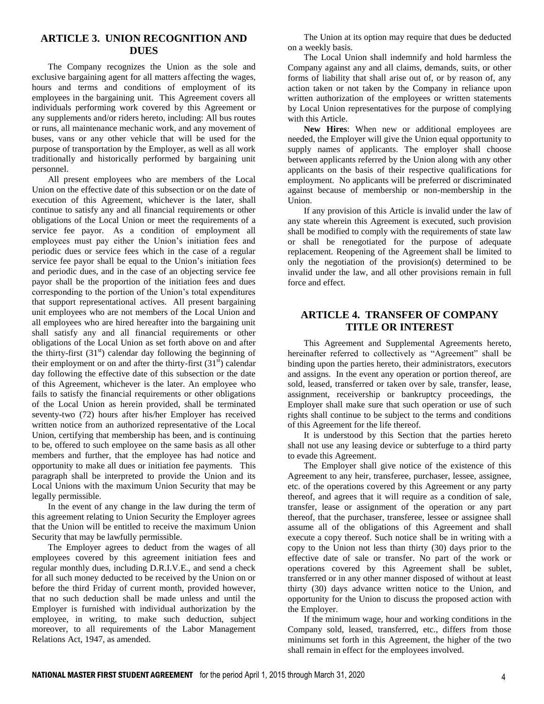#### **ARTICLE 3. UNION RECOGNITION AND DUES**

The Company recognizes the Union as the sole and exclusive bargaining agent for all matters affecting the wages, hours and terms and conditions of employment of its employees in the bargaining unit. This Agreement covers all individuals performing work covered by this Agreement or any supplements and/or riders hereto, including: All bus routes or runs, all maintenance mechanic work, and any movement of buses, vans or any other vehicle that will be used for the purpose of transportation by the Employer, as well as all work traditionally and historically performed by bargaining unit personnel.

All present employees who are members of the Local Union on the effective date of this subsection or on the date of execution of this Agreement, whichever is the later, shall continue to satisfy any and all financial requirements or other obligations of the Local Union or meet the requirements of a service fee payor. As a condition of employment all employees must pay either the Union's initiation fees and periodic dues or service fees which in the case of a regular service fee payor shall be equal to the Union's initiation fees and periodic dues, and in the case of an objecting service fee payor shall be the proportion of the initiation fees and dues corresponding to the portion of the Union's total expenditures that support representational actives. All present bargaining unit employees who are not members of the Local Union and all employees who are hired hereafter into the bargaining unit shall satisfy any and all financial requirements or other obligations of the Local Union as set forth above on and after the thirty-first  $(31<sup>st</sup>)$  calendar day following the beginning of their employment or on and after the thirty-first  $(31<sup>st</sup>)$  calendar day following the effective date of this subsection or the date of this Agreement, whichever is the later. An employee who fails to satisfy the financial requirements or other obligations of the Local Union as herein provided, shall be terminated seventy-two (72) hours after his/her Employer has received written notice from an authorized representative of the Local Union, certifying that membership has been, and is continuing to be, offered to such employee on the same basis as all other members and further, that the employee has had notice and opportunity to make all dues or initiation fee payments. This paragraph shall be interpreted to provide the Union and its Local Unions with the maximum Union Security that may be legally permissible.

In the event of any change in the law during the term of this agreement relating to Union Security the Employer agrees that the Union will be entitled to receive the maximum Union Security that may be lawfully permissible.

The Employer agrees to deduct from the wages of all employees covered by this agreement initiation fees and regular monthly dues, including D.R.I.V.E., and send a check for all such money deducted to be received by the Union on or before the third Friday of current month, provided however, that no such deduction shall be made unless and until the Employer is furnished with individual authorization by the employee, in writing, to make such deduction, subject moreover, to all requirements of the Labor Management Relations Act, 1947, as amended.

The Union at its option may require that dues be deducted on a weekly basis.

The Local Union shall indemnify and hold harmless the Company against any and all claims, demands, suits, or other forms of liability that shall arise out of, or by reason of, any action taken or not taken by the Company in reliance upon written authorization of the employees or written statements by Local Union representatives for the purpose of complying with this Article.

**New Hires**: When new or additional employees are needed, the Employer will give the Union equal opportunity to supply names of applicants. The employer shall choose between applicants referred by the Union along with any other applicants on the basis of their respective qualifications for employment. No applicants will be preferred or discriminated against because of membership or non-membership in the Union.

If any provision of this Article is invalid under the law of any state wherein this Agreement is executed, such provision shall be modified to comply with the requirements of state law or shall be renegotiated for the purpose of adequate replacement. Reopening of the Agreement shall be limited to only the negotiation of the provision(s) determined to be invalid under the law, and all other provisions remain in full force and effect.

## **ARTICLE 4. TRANSFER OF COMPANY TITLE OR INTEREST**

This Agreement and Supplemental Agreements hereto, hereinafter referred to collectively as "Agreement" shall be binding upon the parties hereto, their administrators, executors and assigns. In the event any operation or portion thereof, are sold, leased, transferred or taken over by sale, transfer, lease, assignment, receivership or bankruptcy proceedings, the Employer shall make sure that such operation or use of such rights shall continue to be subject to the terms and conditions of this Agreement for the life thereof.

It is understood by this Section that the parties hereto shall not use any leasing device or subterfuge to a third party to evade this Agreement.

The Employer shall give notice of the existence of this Agreement to any heir, transferee, purchaser, lessee, assignee, etc. of the operations covered by this Agreement or any party thereof, and agrees that it will require as a condition of sale, transfer, lease or assignment of the operation or any part thereof, that the purchaser, transferee, lessee or assignee shall assume all of the obligations of this Agreement and shall execute a copy thereof. Such notice shall be in writing with a copy to the Union not less than thirty (30) days prior to the effective date of sale or transfer. No part of the work or operations covered by this Agreement shall be sublet, transferred or in any other manner disposed of without at least thirty (30) days advance written notice to the Union, and opportunity for the Union to discuss the proposed action with the Employer.

If the minimum wage, hour and working conditions in the Company sold, leased, transferred, etc., differs from those minimums set forth in this Agreement, the higher of the two shall remain in effect for the employees involved.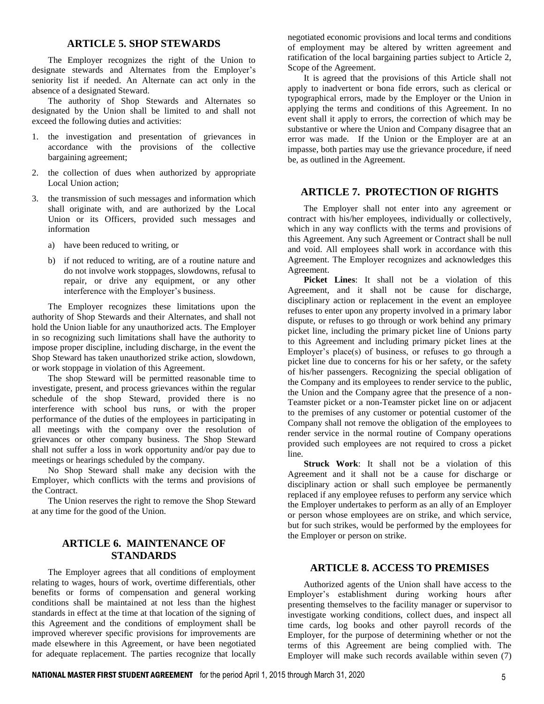## **ARTICLE 5. SHOP STEWARDS**

The Employer recognizes the right of the Union to designate stewards and Alternates from the Employer's seniority list if needed. An Alternate can act only in the absence of a designated Steward.

The authority of Shop Stewards and Alternates so designated by the Union shall be limited to and shall not exceed the following duties and activities:

- 1. the investigation and presentation of grievances in accordance with the provisions of the collective bargaining agreement;
- 2. the collection of dues when authorized by appropriate Local Union action;
- 3. the transmission of such messages and information which shall originate with, and are authorized by the Local Union or its Officers, provided such messages and information
	- a) have been reduced to writing, or
	- b) if not reduced to writing, are of a routine nature and do not involve work stoppages, slowdowns, refusal to repair, or drive any equipment, or any other interference with the Employer's business.

The Employer recognizes these limitations upon the authority of Shop Stewards and their Alternates, and shall not hold the Union liable for any unauthorized acts. The Employer in so recognizing such limitations shall have the authority to impose proper discipline, including discharge, in the event the Shop Steward has taken unauthorized strike action, slowdown, or work stoppage in violation of this Agreement.

The shop Steward will be permitted reasonable time to investigate, present, and process grievances within the regular schedule of the shop Steward, provided there is no interference with school bus runs, or with the proper performance of the duties of the employees in participating in all meetings with the company over the resolution of grievances or other company business. The Shop Steward shall not suffer a loss in work opportunity and/or pay due to meetings or hearings scheduled by the company.

No Shop Steward shall make any decision with the Employer, which conflicts with the terms and provisions of the Contract.

The Union reserves the right to remove the Shop Steward at any time for the good of the Union.

## **ARTICLE 6. MAINTENANCE OF STANDARDS**

The Employer agrees that all conditions of employment relating to wages, hours of work, overtime differentials, other benefits or forms of compensation and general working conditions shall be maintained at not less than the highest standards in effect at the time at that location of the signing of this Agreement and the conditions of employment shall be improved wherever specific provisions for improvements are made elsewhere in this Agreement, or have been negotiated for adequate replacement. The parties recognize that locally

negotiated economic provisions and local terms and conditions of employment may be altered by written agreement and ratification of the local bargaining parties subject to Article 2, Scope of the Agreement.

It is agreed that the provisions of this Article shall not apply to inadvertent or bona fide errors, such as clerical or typographical errors, made by the Employer or the Union in applying the terms and conditions of this Agreement. In no event shall it apply to errors, the correction of which may be substantive or where the Union and Company disagree that an error was made. If the Union or the Employer are at an impasse, both parties may use the grievance procedure, if need be, as outlined in the Agreement.

## **ARTICLE 7. PROTECTION OF RIGHTS**

The Employer shall not enter into any agreement or contract with his/her employees, individually or collectively, which in any way conflicts with the terms and provisions of this Agreement. Any such Agreement or Contract shall be null and void. All employees shall work in accordance with this Agreement. The Employer recognizes and acknowledges this Agreement.

**Picket Lines**: It shall not be a violation of this Agreement, and it shall not be cause for discharge, disciplinary action or replacement in the event an employee refuses to enter upon any property involved in a primary labor dispute, or refuses to go through or work behind any primary picket line, including the primary picket line of Unions party to this Agreement and including primary picket lines at the Employer's place(s) of business, or refuses to go through a picket line due to concerns for his or her safety, or the safety of his/her passengers. Recognizing the special obligation of the Company and its employees to render service to the public, the Union and the Company agree that the presence of a non-Teamster picket or a non-Teamster picket line on or adjacent to the premises of any customer or potential customer of the Company shall not remove the obligation of the employees to render service in the normal routine of Company operations provided such employees are not required to cross a picket line.

**Struck Work**: It shall not be a violation of this Agreement and it shall not be a cause for discharge or disciplinary action or shall such employee be permanently replaced if any employee refuses to perform any service which the Employer undertakes to perform as an ally of an Employer or person whose employees are on strike, and which service, but for such strikes, would be performed by the employees for the Employer or person on strike.

#### **ARTICLE 8. ACCESS TO PREMISES**

Authorized agents of the Union shall have access to the Employer's establishment during working hours after presenting themselves to the facility manager or supervisor to investigate working conditions, collect dues, and inspect all time cards, log books and other payroll records of the Employer, for the purpose of determining whether or not the terms of this Agreement are being complied with. The Employer will make such records available within seven (7)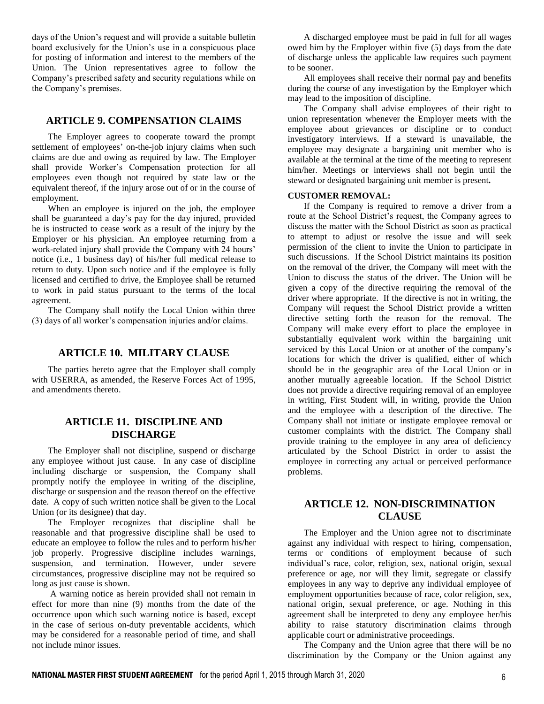days of the Union's request and will provide a suitable bulletin board exclusively for the Union's use in a conspicuous place for posting of information and interest to the members of the Union. The Union representatives agree to follow the Company's prescribed safety and security regulations while on the Company's premises.

#### **ARTICLE 9. COMPENSATION CLAIMS**

The Employer agrees to cooperate toward the prompt settlement of employees' on-the-job injury claims when such claims are due and owing as required by law. The Employer shall provide Worker's Compensation protection for all employees even though not required by state law or the equivalent thereof, if the injury arose out of or in the course of employment.

When an employee is injured on the job, the employee shall be guaranteed a day's pay for the day injured, provided he is instructed to cease work as a result of the injury by the Employer or his physician. An employee returning from a work-related injury shall provide the Company with 24 hours' notice (i.e., 1 business day) of his/her full medical release to return to duty. Upon such notice and if the employee is fully licensed and certified to drive, the Employee shall be returned to work in paid status pursuant to the terms of the local agreement.

The Company shall notify the Local Union within three (3) days of all worker's compensation injuries and/or claims.

#### **ARTICLE 10. MILITARY CLAUSE**

The parties hereto agree that the Employer shall comply with USERRA, as amended, the Reserve Forces Act of 1995, and amendments thereto.

## **ARTICLE 11. DISCIPLINE AND DISCHARGE**

The Employer shall not discipline, suspend or discharge any employee without just cause. In any case of discipline including discharge or suspension, the Company shall promptly notify the employee in writing of the discipline, discharge or suspension and the reason thereof on the effective date. A copy of such written notice shall be given to the Local Union (or its designee) that day.

The Employer recognizes that discipline shall be reasonable and that progressive discipline shall be used to educate an employee to follow the rules and to perform his/her job properly. Progressive discipline includes warnings, suspension, and termination. However, under severe circumstances, progressive discipline may not be required so long as just cause is shown.

A warning notice as herein provided shall not remain in effect for more than nine (9) months from the date of the occurrence upon which such warning notice is based, except in the case of serious on-duty preventable accidents, which may be considered for a reasonable period of time, and shall not include minor issues.

A discharged employee must be paid in full for all wages owed him by the Employer within five (5) days from the date of discharge unless the applicable law requires such payment to be sooner.

All employees shall receive their normal pay and benefits during the course of any investigation by the Employer which may lead to the imposition of discipline.

The Company shall advise employees of their right to union representation whenever the Employer meets with the employee about grievances or discipline or to conduct investigatory interviews. If a steward is unavailable, the employee may designate a bargaining unit member who is available at the terminal at the time of the meeting to represent him/her. Meetings or interviews shall not begin until the steward or designated bargaining unit member is present*.* 

#### **CUSTOMER REMOVAL:**

If the Company is required to remove a driver from a route at the School District's request, the Company agrees to discuss the matter with the School District as soon as practical to attempt to adjust or resolve the issue and will seek permission of the client to invite the Union to participate in such discussions. If the School District maintains its position on the removal of the driver, the Company will meet with the Union to discuss the status of the driver. The Union will be given a copy of the directive requiring the removal of the driver where appropriate. If the directive is not in writing, the Company will request the School District provide a written directive setting forth the reason for the removal. The Company will make every effort to place the employee in substantially equivalent work within the bargaining unit serviced by this Local Union or at another of the company's locations for which the driver is qualified, either of which should be in the geographic area of the Local Union or in another mutually agreeable location. If the School District does not provide a directive requiring removal of an employee in writing, First Student will, in writing, provide the Union and the employee with a description of the directive. The Company shall not initiate or instigate employee removal or customer complaints with the district. The Company shall provide training to the employee in any area of deficiency articulated by the School District in order to assist the employee in correcting any actual or perceived performance problems.

## **ARTICLE 12. NON-DISCRIMINATION CLAUSE**

The Employer and the Union agree not to discriminate against any individual with respect to hiring, compensation, terms or conditions of employment because of such individual's race, color, religion, sex, national origin, sexual preference or age, nor will they limit, segregate or classify employees in any way to deprive any individual employee of employment opportunities because of race, color religion, sex, national origin, sexual preference, or age. Nothing in this agreement shall be interpreted to deny any employee her/his ability to raise statutory discrimination claims through applicable court or administrative proceedings.

The Company and the Union agree that there will be no discrimination by the Company or the Union against any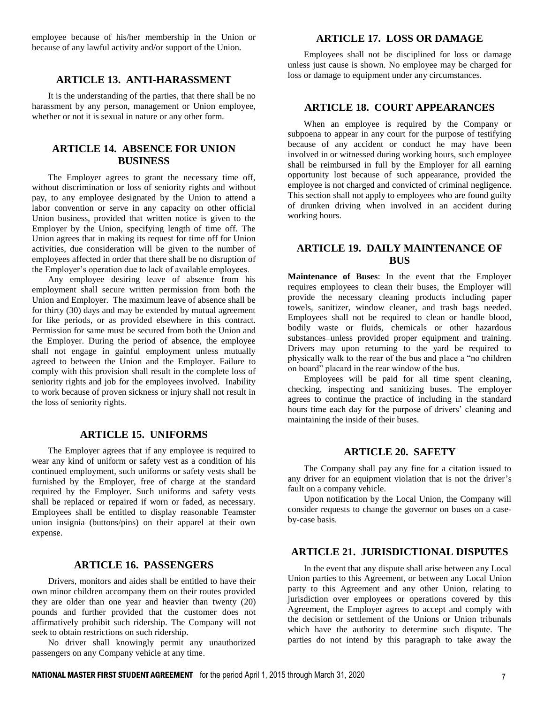employee because of his/her membership in the Union or because of any lawful activity and/or support of the Union.

#### **ARTICLE 13. ANTI-HARASSMENT**

It is the understanding of the parties, that there shall be no harassment by any person, management or Union employee, whether or not it is sexual in nature or any other form.

## **ARTICLE 14. ABSENCE FOR UNION BUSINESS**

The Employer agrees to grant the necessary time off, without discrimination or loss of seniority rights and without pay, to any employee designated by the Union to attend a labor convention or serve in any capacity on other official Union business, provided that written notice is given to the Employer by the Union, specifying length of time off. The Union agrees that in making its request for time off for Union activities, due consideration will be given to the number of employees affected in order that there shall be no disruption of the Employer's operation due to lack of available employees.

Any employee desiring leave of absence from his employment shall secure written permission from both the Union and Employer. The maximum leave of absence shall be for thirty (30) days and may be extended by mutual agreement for like periods, or as provided elsewhere in this contract. Permission for same must be secured from both the Union and the Employer. During the period of absence, the employee shall not engage in gainful employment unless mutually agreed to between the Union and the Employer. Failure to comply with this provision shall result in the complete loss of seniority rights and job for the employees involved. Inability to work because of proven sickness or injury shall not result in the loss of seniority rights.

#### **ARTICLE 15. UNIFORMS**

The Employer agrees that if any employee is required to wear any kind of uniform or safety vest as a condition of his continued employment, such uniforms or safety vests shall be furnished by the Employer, free of charge at the standard required by the Employer. Such uniforms and safety vests shall be replaced or repaired if worn or faded, as necessary. Employees shall be entitled to display reasonable Teamster union insignia (buttons/pins) on their apparel at their own expense.

#### **ARTICLE 16. PASSENGERS**

Drivers, monitors and aides shall be entitled to have their own minor children accompany them on their routes provided they are older than one year and heavier than twenty (20) pounds and further provided that the customer does not affirmatively prohibit such ridership. The Company will not seek to obtain restrictions on such ridership.

No driver shall knowingly permit any unauthorized passengers on any Company vehicle at any time.

#### **ARTICLE 17. LOSS OR DAMAGE**

Employees shall not be disciplined for loss or damage unless just cause is shown. No employee may be charged for loss or damage to equipment under any circumstances.

#### **ARTICLE 18. COURT APPEARANCES**

When an employee is required by the Company or subpoena to appear in any court for the purpose of testifying because of any accident or conduct he may have been involved in or witnessed during working hours, such employee shall be reimbursed in full by the Employer for all earning opportunity lost because of such appearance, provided the employee is not charged and convicted of criminal negligence. This section shall not apply to employees who are found guilty of drunken driving when involved in an accident during working hours.

## **ARTICLE 19. DAILY MAINTENANCE OF BUS**

**Maintenance of Buses**: In the event that the Employer requires employees to clean their buses, the Employer will provide the necessary cleaning products including paper towels, sanitizer, window cleaner, and trash bags needed. Employees shall not be required to clean or handle blood, bodily waste or fluids, chemicals or other hazardous substances-unless provided proper equipment and training. Drivers may upon returning to the yard be required to physically walk to the rear of the bus and place a "no children on board" placard in the rear window of the bus.

Employees will be paid for all time spent cleaning, checking, inspecting and sanitizing buses. The employer agrees to continue the practice of including in the standard hours time each day for the purpose of drivers' cleaning and maintaining the inside of their buses.

## **ARTICLE 20. SAFETY**

The Company shall pay any fine for a citation issued to any driver for an equipment violation that is not the driver's fault on a company vehicle.

Upon notification by the Local Union, the Company will consider requests to change the governor on buses on a caseby-case basis.

#### **ARTICLE 21. JURISDICTIONAL DISPUTES**

In the event that any dispute shall arise between any Local Union parties to this Agreement, or between any Local Union party to this Agreement and any other Union, relating to jurisdiction over employees or operations covered by this Agreement, the Employer agrees to accept and comply with the decision or settlement of the Unions or Union tribunals which have the authority to determine such dispute. The parties do not intend by this paragraph to take away the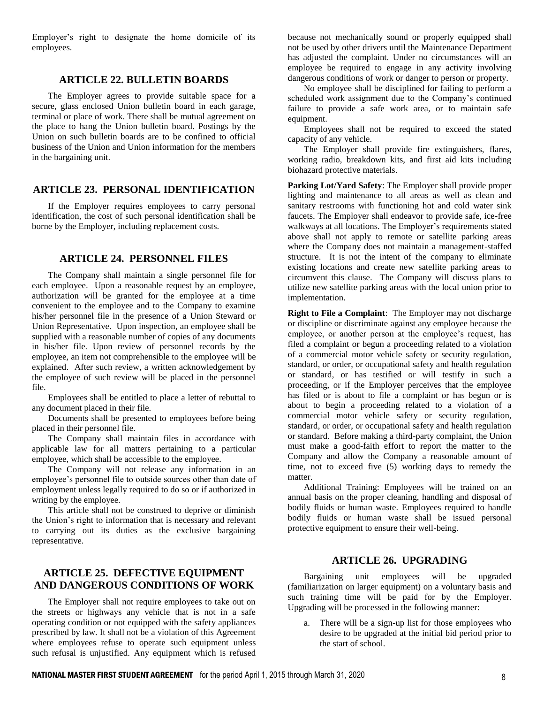Employer's right to designate the home domicile of its employees.

#### **ARTICLE 22. BULLETIN BOARDS**

The Employer agrees to provide suitable space for a secure, glass enclosed Union bulletin board in each garage, terminal or place of work. There shall be mutual agreement on the place to hang the Union bulletin board. Postings by the Union on such bulletin boards are to be confined to official business of the Union and Union information for the members in the bargaining unit.

#### **ARTICLE 23. PERSONAL IDENTIFICATION**

If the Employer requires employees to carry personal identification, the cost of such personal identification shall be borne by the Employer, including replacement costs.

#### **ARTICLE 24. PERSONNEL FILES**

The Company shall maintain a single personnel file for each employee. Upon a reasonable request by an employee, authorization will be granted for the employee at a time convenient to the employee and to the Company to examine his/her personnel file in the presence of a Union Steward or Union Representative. Upon inspection, an employee shall be supplied with a reasonable number of copies of any documents in his/her file. Upon review of personnel records by the employee, an item not comprehensible to the employee will be explained. After such review, a written acknowledgement by the employee of such review will be placed in the personnel file.

Employees shall be entitled to place a letter of rebuttal to any document placed in their file.

Documents shall be presented to employees before being placed in their personnel file.

The Company shall maintain files in accordance with applicable law for all matters pertaining to a particular employee, which shall be accessible to the employee.

The Company will not release any information in an employee's personnel file to outside sources other than date of employment unless legally required to do so or if authorized in writing by the employee.

This article shall not be construed to deprive or diminish the Union's right to information that is necessary and relevant to carrying out its duties as the exclusive bargaining representative.

#### **ARTICLE 25. DEFECTIVE EQUIPMENT AND DANGEROUS CONDITIONS OF WORK**

The Employer shall not require employees to take out on the streets or highways any vehicle that is not in a safe operating condition or not equipped with the safety appliances prescribed by law. It shall not be a violation of this Agreement where employees refuse to operate such equipment unless such refusal is unjustified. Any equipment which is refused

because not mechanically sound or properly equipped shall not be used by other drivers until the Maintenance Department has adjusted the complaint. Under no circumstances will an employee be required to engage in any activity involving dangerous conditions of work or danger to person or property.

No employee shall be disciplined for failing to perform a scheduled work assignment due to the Company's continued failure to provide a safe work area, or to maintain safe equipment.

Employees shall not be required to exceed the stated capacity of any vehicle.

The Employer shall provide fire extinguishers, flares, working radio, breakdown kits, and first aid kits including biohazard protective materials.

**Parking Lot/Yard Safety**: The Employer shall provide proper lighting and maintenance to all areas as well as clean and sanitary restrooms with functioning hot and cold water sink faucets. The Employer shall endeavor to provide safe, ice-free walkways at all locations. The Employer's requirements stated above shall not apply to remote or satellite parking areas where the Company does not maintain a management-staffed structure. It is not the intent of the company to eliminate existing locations and create new satellite parking areas to circumvent this clause. The Company will discuss plans to utilize new satellite parking areas with the local union prior to implementation.

**Right to File a Complaint**: The Employer may not discharge or discipline or discriminate against any employee because the employee, or another person at the employee's request, has filed a complaint or begun a proceeding related to a violation of a commercial motor vehicle safety or security regulation, standard, or order, or occupational safety and health regulation or standard, or has testified or will testify in such a proceeding, or if the Employer perceives that the employee has filed or is about to file a complaint or has begun or is about to begin a proceeding related to a violation of a commercial motor vehicle safety or security regulation, standard, or order, or occupational safety and health regulation or standard. Before making a third-party complaint, the Union must make a good-faith effort to report the matter to the Company and allow the Company a reasonable amount of time, not to exceed five (5) working days to remedy the matter.

Additional Training: Employees will be trained on an annual basis on the proper cleaning, handling and disposal of bodily fluids or human waste. Employees required to handle bodily fluids or human waste shall be issued personal protective equipment to ensure their well-being.

#### **ARTICLE 26. UPGRADING**

Bargaining unit employees will be upgraded (familiarization on larger equipment) on a voluntary basis and such training time will be paid for by the Employer. Upgrading will be processed in the following manner:

a. There will be a sign-up list for those employees who desire to be upgraded at the initial bid period prior to the start of school.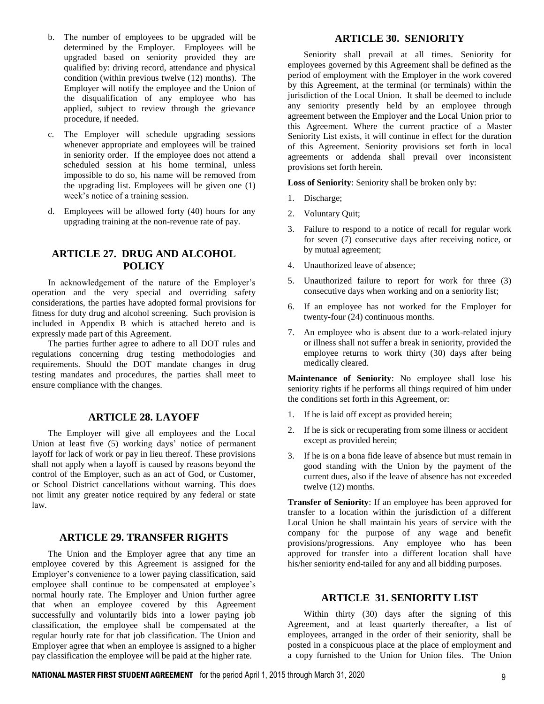- b. The number of employees to be upgraded will be determined by the Employer. Employees will be upgraded based on seniority provided they are qualified by: driving record, attendance and physical condition (within previous twelve (12) months). The Employer will notify the employee and the Union of the disqualification of any employee who has applied, subject to review through the grievance procedure, if needed.
- c. The Employer will schedule upgrading sessions whenever appropriate and employees will be trained in seniority order. If the employee does not attend a scheduled session at his home terminal, unless impossible to do so, his name will be removed from the upgrading list. Employees will be given one (1) week's notice of a training session.
- d. Employees will be allowed forty (40) hours for any upgrading training at the non-revenue rate of pay.

## **ARTICLE 27. DRUG AND ALCOHOL POLICY**

In acknowledgement of the nature of the Employer's operation and the very special and overriding safety considerations, the parties have adopted formal provisions for fitness for duty drug and alcohol screening. Such provision is included in Appendix B which is attached hereto and is expressly made part of this Agreement.

The parties further agree to adhere to all DOT rules and regulations concerning drug testing methodologies and requirements. Should the DOT mandate changes in drug testing mandates and procedures, the parties shall meet to ensure compliance with the changes.

## **ARTICLE 28. LAYOFF**

The Employer will give all employees and the Local Union at least five (5) working days' notice of permanent layoff for lack of work or pay in lieu thereof. These provisions shall not apply when a layoff is caused by reasons beyond the control of the Employer, such as an act of God, or Customer, or School District cancellations without warning. This does not limit any greater notice required by any federal or state law.

#### **ARTICLE 29. TRANSFER RIGHTS**

The Union and the Employer agree that any time an employee covered by this Agreement is assigned for the Employer's convenience to a lower paying classification, said employee shall continue to be compensated at employee's normal hourly rate. The Employer and Union further agree that when an employee covered by this Agreement successfully and voluntarily bids into a lower paying job classification, the employee shall be compensated at the regular hourly rate for that job classification. The Union and Employer agree that when an employee is assigned to a higher pay classification the employee will be paid at the higher rate.

## **ARTICLE 30. SENIORITY**

Seniority shall prevail at all times. Seniority for employees governed by this Agreement shall be defined as the period of employment with the Employer in the work covered by this Agreement, at the terminal (or terminals) within the jurisdiction of the Local Union. It shall be deemed to include any seniority presently held by an employee through agreement between the Employer and the Local Union prior to this Agreement. Where the current practice of a Master Seniority List exists, it will continue in effect for the duration of this Agreement. Seniority provisions set forth in local agreements or addenda shall prevail over inconsistent provisions set forth herein.

**Loss of Seniority**: Seniority shall be broken only by:

- 1. Discharge;
- 2. Voluntary Quit;
- 3. Failure to respond to a notice of recall for regular work for seven (7) consecutive days after receiving notice, or by mutual agreement;
- 4. Unauthorized leave of absence;
- 5. Unauthorized failure to report for work for three (3) consecutive days when working and on a seniority list;
- 6. If an employee has not worked for the Employer for twenty-four (24) continuous months.
- 7. An employee who is absent due to a work-related injury or illness shall not suffer a break in seniority, provided the employee returns to work thirty (30) days after being medically cleared.

**Maintenance of Seniority**: No employee shall lose his seniority rights if he performs all things required of him under the conditions set forth in this Agreement, or:

- 1. If he is laid off except as provided herein;
- 2. If he is sick or recuperating from some illness or accident except as provided herein;
- 3. If he is on a bona fide leave of absence but must remain in good standing with the Union by the payment of the current dues, also if the leave of absence has not exceeded twelve (12) months.

**Transfer of Seniority**: If an employee has been approved for transfer to a location within the jurisdiction of a different Local Union he shall maintain his years of service with the company for the purpose of any wage and benefit provisions/progressions. Any employee who has been approved for transfer into a different location shall have his/her seniority end-tailed for any and all bidding purposes.

#### **ARTICLE 31. SENIORITY LIST**

Within thirty (30) days after the signing of this Agreement, and at least quarterly thereafter, a list of employees, arranged in the order of their seniority, shall be posted in a conspicuous place at the place of employment and a copy furnished to the Union for Union files. The Union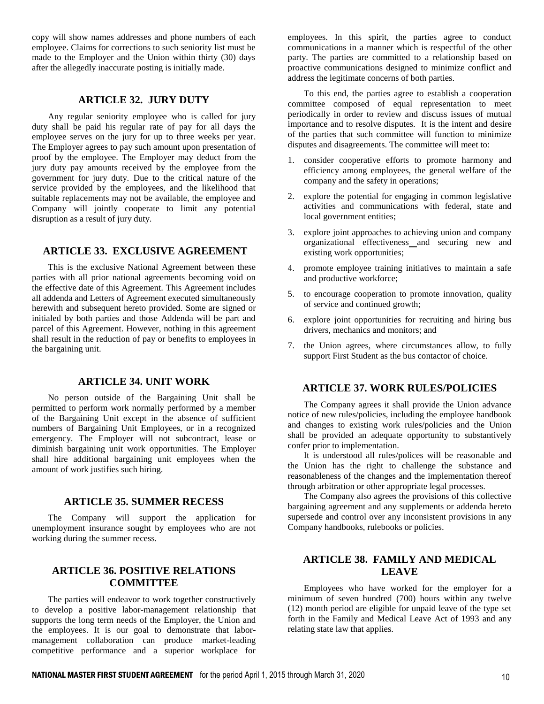copy will show names addresses and phone numbers of each employee. Claims for corrections to such seniority list must be made to the Employer and the Union within thirty (30) days after the allegedly inaccurate posting is initially made.

## **ARTICLE 32. JURY DUTY**

Any regular seniority employee who is called for jury duty shall be paid his regular rate of pay for all days the employee serves on the jury for up to three weeks per year. The Employer agrees to pay such amount upon presentation of proof by the employee. The Employer may deduct from the jury duty pay amounts received by the employee from the government for jury duty. Due to the critical nature of the service provided by the employees, and the likelihood that suitable replacements may not be available, the employee and Company will jointly cooperate to limit any potential disruption as a result of jury duty.

#### **ARTICLE 33. EXCLUSIVE AGREEMENT**

This is the exclusive National Agreement between these parties with all prior national agreements becoming void on the effective date of this Agreement. This Agreement includes all addenda and Letters of Agreement executed simultaneously herewith and subsequent hereto provided. Some are signed or initialed by both parties and those Addenda will be part and parcel of this Agreement. However, nothing in this agreement shall result in the reduction of pay or benefits to employees in the bargaining unit.

## **ARTICLE 34. UNIT WORK**

No person outside of the Bargaining Unit shall be permitted to perform work normally performed by a member of the Bargaining Unit except in the absence of sufficient numbers of Bargaining Unit Employees, or in a recognized emergency. The Employer will not subcontract, lease or diminish bargaining unit work opportunities. The Employer shall hire additional bargaining unit employees when the amount of work justifies such hiring.

#### **ARTICLE 35. SUMMER RECESS**

The Company will support the application for unemployment insurance sought by employees who are not working during the summer recess.

## **ARTICLE 36. POSITIVE RELATIONS COMMITTEE**

The parties will endeavor to work together constructively to develop a positive labor-management relationship that supports the long term needs of the Employer, the Union and the employees. It is our goal to demonstrate that labormanagement collaboration can produce market-leading competitive performance and a superior workplace for

employees. In this spirit, the parties agree to conduct communications in a manner which is respectful of the other party. The parties are committed to a relationship based on proactive communications designed to minimize conflict and address the legitimate concerns of both parties.

To this end, the parties agree to establish a cooperation committee composed of equal representation to meet periodically in order to review and discuss issues of mutual importance and to resolve disputes. It is the intent and desire of the parties that such committee will function to minimize disputes and disagreements. The committee will meet to:

- 1. consider cooperative efforts to promote harmony and efficiency among employees, the general welfare of the company and the safety in operations;
- 2. explore the potential for engaging in common legislative activities and communications with federal, state and local government entities;
- 3. explore joint approaches to achieving union and company organizational effectiveness and securing new and existing work opportunities;
- 4. promote employee training initiatives to maintain a safe and productive workforce;
- 5. to encourage cooperation to promote innovation, quality of service and continued growth;
- 6. explore joint opportunities for recruiting and hiring bus drivers, mechanics and monitors; and
- 7. the Union agrees, where circumstances allow, to fully support First Student as the bus contactor of choice.

#### **ARTICLE 37. WORK RULES/POLICIES**

The Company agrees it shall provide the Union advance notice of new rules/policies, including the employee handbook and changes to existing work rules/policies and the Union shall be provided an adequate opportunity to substantively confer prior to implementation.

It is understood all rules/polices will be reasonable and the Union has the right to challenge the substance and reasonableness of the changes and the implementation thereof through arbitration or other appropriate legal processes.

The Company also agrees the provisions of this collective bargaining agreement and any supplements or addenda hereto supersede and control over any inconsistent provisions in any Company handbooks, rulebooks or policies.

## **ARTICLE 38. FAMILY AND MEDICAL LEAVE**

Employees who have worked for the employer for a minimum of seven hundred (700) hours within any twelve (12) month period are eligible for unpaid leave of the type set forth in the Family and Medical Leave Act of 1993 and any relating state law that applies.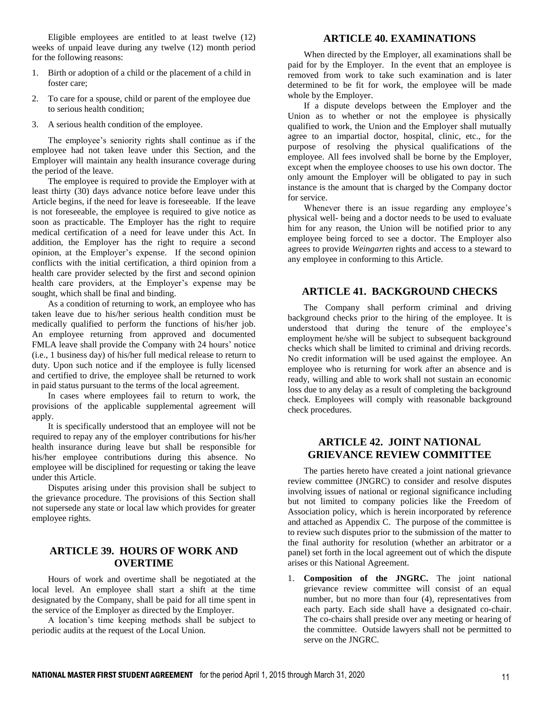Eligible employees are entitled to at least twelve (12) weeks of unpaid leave during any twelve (12) month period for the following reasons:

- 1. Birth or adoption of a child or the placement of a child in foster care;
- 2. To care for a spouse, child or parent of the employee due to serious health condition;
- 3. A serious health condition of the employee.

The employee's seniority rights shall continue as if the employee had not taken leave under this Section, and the Employer will maintain any health insurance coverage during the period of the leave.

The employee is required to provide the Employer with at least thirty (30) days advance notice before leave under this Article begins, if the need for leave is foreseeable. If the leave is not foreseeable, the employee is required to give notice as soon as practicable. The Employer has the right to require medical certification of a need for leave under this Act. In addition, the Employer has the right to require a second opinion, at the Employer's expense. If the second opinion conflicts with the initial certification, a third opinion from a health care provider selected by the first and second opinion health care providers, at the Employer's expense may be sought, which shall be final and binding.

As a condition of returning to work, an employee who has taken leave due to his/her serious health condition must be medically qualified to perform the functions of his/her job. An employee returning from approved and documented FMLA leave shall provide the Company with 24 hours' notice (i.e., 1 business day) of his/her full medical release to return to duty. Upon such notice and if the employee is fully licensed and certified to drive, the employee shall be returned to work in paid status pursuant to the terms of the local agreement.

In cases where employees fail to return to work, the provisions of the applicable supplemental agreement will apply.

It is specifically understood that an employee will not be required to repay any of the employer contributions for his/her health insurance during leave but shall be responsible for his/her employee contributions during this absence. No employee will be disciplined for requesting or taking the leave under this Article.

Disputes arising under this provision shall be subject to the grievance procedure. The provisions of this Section shall not supersede any state or local law which provides for greater employee rights.

## **ARTICLE 39. HOURS OF WORK AND OVERTIME**

Hours of work and overtime shall be negotiated at the local level. An employee shall start a shift at the time designated by the Company, shall be paid for all time spent in the service of the Employer as directed by the Employer.

A location's time keeping methods shall be subject to periodic audits at the request of the Local Union.

#### **ARTICLE 40. EXAMINATIONS**

When directed by the Employer, all examinations shall be paid for by the Employer. In the event that an employee is removed from work to take such examination and is later determined to be fit for work, the employee will be made whole by the Employer.

If a dispute develops between the Employer and the Union as to whether or not the employee is physically qualified to work, the Union and the Employer shall mutually agree to an impartial doctor, hospital, clinic, etc., for the purpose of resolving the physical qualifications of the employee. All fees involved shall be borne by the Employer, except when the employee chooses to use his own doctor. The only amount the Employer will be obligated to pay in such instance is the amount that is charged by the Company doctor for service.

Whenever there is an issue regarding any employee's physical well- being and a doctor needs to be used to evaluate him for any reason, the Union will be notified prior to any employee being forced to see a doctor. The Employer also agrees to provide *Weingarten* rights and access to a steward to any employee in conforming to this Article.

## **ARTICLE 41. BACKGROUND CHECKS**

The Company shall perform criminal and driving background checks prior to the hiring of the employee. It is understood that during the tenure of the employee's employment he/she will be subject to subsequent background checks which shall be limited to criminal and driving records. No credit information will be used against the employee. An employee who is returning for work after an absence and is ready, willing and able to work shall not sustain an economic loss due to any delay as a result of completing the background check. Employees will comply with reasonable background check procedures.

#### **ARTICLE 42. JOINT NATIONAL GRIEVANCE REVIEW COMMITTEE**

The parties hereto have created a joint national grievance review committee (JNGRC) to consider and resolve disputes involving issues of national or regional significance including but not limited to company policies like the Freedom of Association policy, which is herein incorporated by reference and attached as Appendix C. The purpose of the committee is to review such disputes prior to the submission of the matter to the final authority for resolution (whether an arbitrator or a panel) set forth in the local agreement out of which the dispute arises or this National Agreement.

1. **Composition of the JNGRC.** The joint national grievance review committee will consist of an equal number, but no more than four (4), representatives from each party. Each side shall have a designated co-chair. The co-chairs shall preside over any meeting or hearing of the committee. Outside lawyers shall not be permitted to serve on the JNGRC.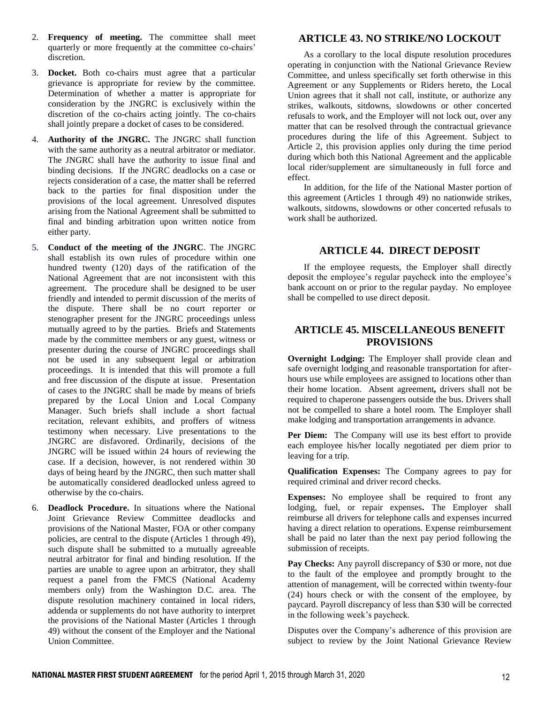- 2. **Frequency of meeting.** The committee shall meet quarterly or more frequently at the committee co-chairs' discretion.
- 3. **Docket.** Both co-chairs must agree that a particular grievance is appropriate for review by the committee. Determination of whether a matter is appropriate for consideration by the JNGRC is exclusively within the discretion of the co-chairs acting jointly. The co-chairs shall jointly prepare a docket of cases to be considered.
- 4. **Authority of the JNGRC.** The JNGRC shall function with the same authority as a neutral arbitrator or mediator. The JNGRC shall have the authority to issue final and binding decisions. If the JNGRC deadlocks on a case or rejects consideration of a case, the matter shall be referred back to the parties for final disposition under the provisions of the local agreement. Unresolved disputes arising from the National Agreement shall be submitted to final and binding arbitration upon written notice from either party.
- 5. **Conduct of the meeting of the JNGRC**. The JNGRC shall establish its own rules of procedure within one hundred twenty (120) days of the ratification of the National Agreement that are not inconsistent with this agreement. The procedure shall be designed to be user friendly and intended to permit discussion of the merits of the dispute. There shall be no court reporter or stenographer present for the JNGRC proceedings unless mutually agreed to by the parties. Briefs and Statements made by the committee members or any guest, witness or presenter during the course of JNGRC proceedings shall not be used in any subsequent legal or arbitration proceedings. It is intended that this will promote a full and free discussion of the dispute at issue. Presentation of cases to the JNGRC shall be made by means of briefs prepared by the Local Union and Local Company Manager. Such briefs shall include a short factual recitation, relevant exhibits, and proffers of witness testimony when necessary. Live presentations to the JNGRC are disfavored. Ordinarily, decisions of the JNGRC will be issued within 24 hours of reviewing the case. If a decision, however, is not rendered within 30 days of being heard by the JNGRC, then such matter shall be automatically considered deadlocked unless agreed to otherwise by the co-chairs.
- 6. **Deadlock Procedure.** In situations where the National Joint Grievance Review Committee deadlocks and provisions of the National Master, FOA or other company policies, are central to the dispute (Articles 1 through 49), such dispute shall be submitted to a mutually agreeable neutral arbitrator for final and binding resolution. If the parties are unable to agree upon an arbitrator, they shall request a panel from the FMCS (National Academy members only) from the Washington D.C. area. The dispute resolution machinery contained in local riders, addenda or supplements do not have authority to interpret the provisions of the National Master (Articles 1 through 49) without the consent of the Employer and the National Union Committee.

## **ARTICLE 43. NO STRIKE/NO LOCKOUT**

As a corollary to the local dispute resolution procedures operating in conjunction with the National Grievance Review Committee, and unless specifically set forth otherwise in this Agreement or any Supplements or Riders hereto, the Local Union agrees that it shall not call, institute, or authorize any strikes, walkouts, sitdowns, slowdowns or other concerted refusals to work, and the Employer will not lock out, over any matter that can be resolved through the contractual grievance procedures during the life of this Agreement. Subject to Article 2, this provision applies only during the time period during which both this National Agreement and the applicable local rider/supplement are simultaneously in full force and effect.

In addition, for the life of the National Master portion of this agreement (Articles 1 through 49) no nationwide strikes, walkouts, sitdowns, slowdowns or other concerted refusals to work shall be authorized.

## **ARTICLE 44. DIRECT DEPOSIT**

If the employee requests, the Employer shall directly deposit the employee's regular paycheck into the employee's bank account on or prior to the regular payday. No employee shall be compelled to use direct deposit.

## **ARTICLE 45. MISCELLANEOUS BENEFIT PROVISIONS**

**Overnight Lodging:** The Employer shall provide clean and safe overnight lodging and reasonable transportation for afterhours use while employees are assigned to locations other than their home location. Absent agreement*,* drivers shall not be required to chaperone passengers outside the bus. Drivers shall not be compelled to share a hotel room. The Employer shall make lodging and transportation arrangements in advance.

**Per Diem:** The Company will use its best effort to provide each employee his/her locally negotiated per diem prior to leaving for a trip.

**Qualification Expenses:** The Company agrees to pay for required criminal and driver record checks.

**Expenses:** No employee shall be required to front any lodging, fuel, or repair expenses**.** The Employer shall reimburse all drivers for telephone calls and expenses incurred having a direct relation to operations. Expense reimbursement shall be paid no later than the next pay period following the submission of receipts.

Pay Checks: Any payroll discrepancy of \$30 or more, not due to the fault of the employee and promptly brought to the attention of management, will be corrected within twenty-four (24) hours check or with the consent of the employee, by paycard. Payroll discrepancy of less than \$30 will be corrected in the following week's paycheck.

Disputes over the Company's adherence of this provision are subject to review by the Joint National Grievance Review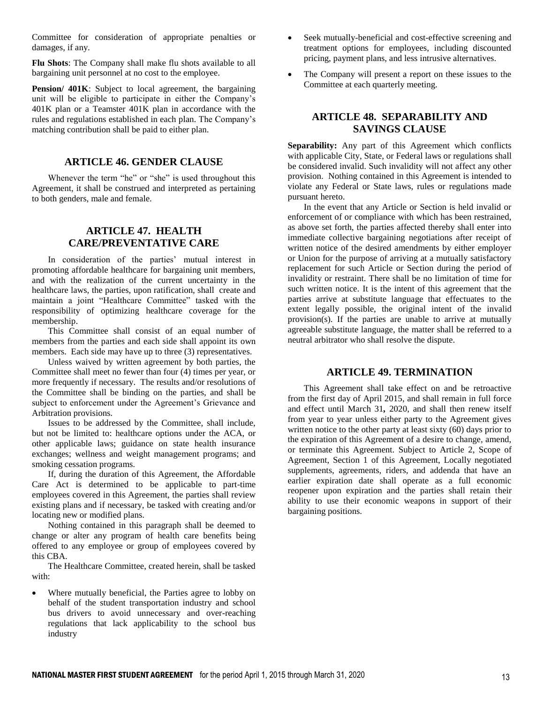Committee for consideration of appropriate penalties or damages, if any.

**Flu Shots**: The Company shall make flu shots available to all bargaining unit personnel at no cost to the employee.

**Pension/ 401K**: Subject to local agreement, the bargaining unit will be eligible to participate in either the Company's 401K plan or a Teamster 401K plan in accordance with the rules and regulations established in each plan. The Company's matching contribution shall be paid to either plan.

## **ARTICLE 46. GENDER CLAUSE**

Whenever the term "he" or "she" is used throughout this Agreement, it shall be construed and interpreted as pertaining to both genders, male and female.

## **ARTICLE 47. HEALTH CARE/PREVENTATIVE CARE**

In consideration of the parties' mutual interest in promoting affordable healthcare for bargaining unit members, and with the realization of the current uncertainty in the healthcare laws, the parties, upon ratification, shall create and maintain a joint "Healthcare Committee" tasked with the responsibility of optimizing healthcare coverage for the membership.

This Committee shall consist of an equal number of members from the parties and each side shall appoint its own members. Each side may have up to three (3) representatives.

Unless waived by written agreement by both parties, the Committee shall meet no fewer than four (4) times per year, or more frequently if necessary. The results and/or resolutions of the Committee shall be binding on the parties, and shall be subject to enforcement under the Agreement's Grievance and Arbitration provisions.

Issues to be addressed by the Committee, shall include, but not be limited to: healthcare options under the ACA, or other applicable laws; guidance on state health insurance exchanges; wellness and weight management programs; and smoking cessation programs.

If, during the duration of this Agreement, the Affordable Care Act is determined to be applicable to part-time employees covered in this Agreement, the parties shall review existing plans and if necessary, be tasked with creating and/or locating new or modified plans.

Nothing contained in this paragraph shall be deemed to change or alter any program of health care benefits being offered to any employee or group of employees covered by this CBA.

The Healthcare Committee, created herein, shall be tasked with:

 Where mutually beneficial, the Parties agree to lobby on behalf of the student transportation industry and school bus drivers to avoid unnecessary and over-reaching regulations that lack applicability to the school bus industry

- Seek mutually-beneficial and cost-effective screening and treatment options for employees, including discounted pricing, payment plans, and less intrusive alternatives.
- The Company will present a report on these issues to the Committee at each quarterly meeting.

## **ARTICLE 48. SEPARABILITY AND SAVINGS CLAUSE**

**Separability:** Any part of this Agreement which conflicts with applicable City, State, or Federal laws or regulations shall be considered invalid. Such invalidity will not affect any other provision. Nothing contained in this Agreement is intended to violate any Federal or State laws, rules or regulations made pursuant hereto.

In the event that any Article or Section is held invalid or enforcement of or compliance with which has been restrained, as above set forth, the parties affected thereby shall enter into immediate collective bargaining negotiations after receipt of written notice of the desired amendments by either employer or Union for the purpose of arriving at a mutually satisfactory replacement for such Article or Section during the period of invalidity or restraint. There shall be no limitation of time for such written notice. It is the intent of this agreement that the parties arrive at substitute language that effectuates to the extent legally possible, the original intent of the invalid provision(s). If the parties are unable to arrive at mutually agreeable substitute language, the matter shall be referred to a neutral arbitrator who shall resolve the dispute.

#### **ARTICLE 49. TERMINATION**

This Agreement shall take effect on and be retroactive from the first day of April 2015, and shall remain in full force and effect until March 31*,* 2020, and shall then renew itself from year to year unless either party to the Agreement gives written notice to the other party at least sixty (60) days prior to the expiration of this Agreement of a desire to change, amend, or terminate this Agreement. Subject to Article 2, Scope of Agreement, Section 1 of this Agreement, Locally negotiated supplements, agreements, riders, and addenda that have an earlier expiration date shall operate as a full economic reopener upon expiration and the parties shall retain their ability to use their economic weapons in support of their bargaining positions.